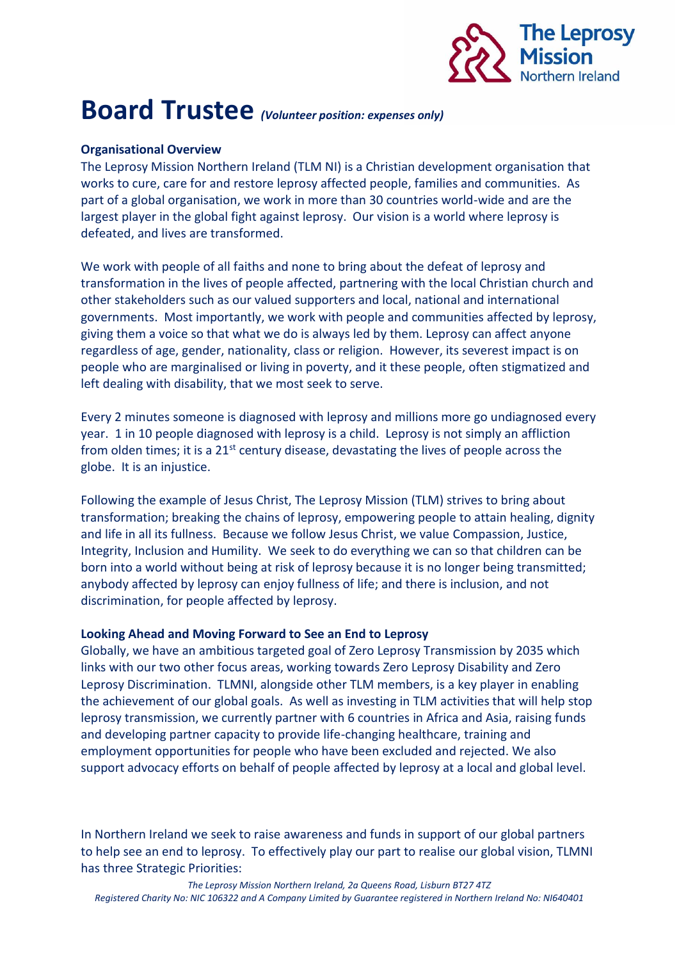

## **Board Trustee** *(Volunteer position: expenses only)*

## **Organisational Overview**

The Leprosy Mission Northern Ireland (TLM NI) is a Christian development organisation that works to cure, care for and restore leprosy affected people, families and communities. As part of a global organisation, we work in more than 30 countries world-wide and are the largest player in the global fight against leprosy. Our vision is a world where leprosy is defeated, and lives are transformed.

We work with people of all faiths and none to bring about the defeat of leprosy and transformation in the lives of people affected, partnering with the local Christian church and other stakeholders such as our valued supporters and local, national and international governments. Most importantly, we work with people and communities affected by leprosy, giving them a voice so that what we do is always led by them. Leprosy can affect anyone regardless of age, gender, nationality, class or religion. However, its severest impact is on people who are marginalised or living in poverty, and it these people, often stigmatized and left dealing with disability, that we most seek to serve.

Every 2 minutes someone is diagnosed with leprosy and millions more go undiagnosed every year. 1 in 10 people diagnosed with leprosy is a child. Leprosy is not simply an affliction from olden times; it is a  $21^{st}$  century disease, devastating the lives of people across the globe. It is an injustice.

Following the example of Jesus Christ, The Leprosy Mission (TLM) strives to bring about transformation; breaking the chains of leprosy, empowering people to attain healing, dignity and life in all its fullness. Because we follow Jesus Christ, we value Compassion, Justice, Integrity, Inclusion and Humility. We seek to do everything we can so that children can be born into a world without being at risk of leprosy because it is no longer being transmitted; anybody affected by leprosy can enjoy fullness of life; and there is inclusion, and not discrimination, for people affected by leprosy.

## **Looking Ahead and Moving Forward to See an End to Leprosy**

Globally, we have an ambitious targeted goal of Zero Leprosy Transmission by 2035 which links with our two other focus areas, working towards Zero Leprosy Disability and Zero Leprosy Discrimination. TLMNI, alongside other TLM members, is a key player in enabling the achievement of our global goals. As well as investing in TLM activities that will help stop leprosy transmission, we currently partner with 6 countries in Africa and Asia, raising funds and developing partner capacity to provide life-changing healthcare, training and employment opportunities for people who have been excluded and rejected. We also support advocacy efforts on behalf of people affected by leprosy at a local and global level.

In Northern Ireland we seek to raise awareness and funds in support of our global partners to help see an end to leprosy. To effectively play our part to realise our global vision, TLMNI has three Strategic Priorities: